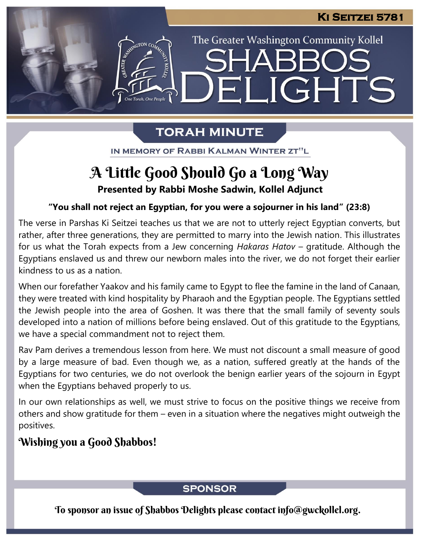The Greater Washington Community Kollel

LIGHTS

## **TORAH MINUTE**

13 I

IN MEMORY OF RABBI KALMAN WINTER ZT"L

## **Presented by Rabbi Moshe Sadwin, Kollel Adjunct** A Little Good Should Go a Long Way

## **"You shall not reject an Egyptian, for you were a sojourner in his land" (23:8) From our archives**

The verse in Parshas Ki Seitzei teaches us that we are not to utterly reject Egyptian converts, but rather, after three generations, they are permitted to marry into the Jewish nation. This illustrates for us what the Torah expects from a Jew concerning *Hakaras Hatov* – gratitude. Although the Egyptians enslaved us and threw our newborn males into the river, we do not forget their earlier kindness to us as a nation.

When our forefather Yaakov and his family came to Egypt to flee the famine in the land of Canaan, they were treated with kind hospitality by Pharaoh and the Egyptian people. The Egyptians settled the Jewish people into the area of Goshen. It was there that the small family of seventy souls developed into a nation of millions before being enslaved. Out of this gratitude to the Egyptians, we have a special commandment not to reject them.

Rav Pam derives a tremendous lesson from here. We must not discount a small measure of good by a large measure of bad. Even though we, as a nation, suffered greatly at the hands of the Egyptians for two centuries, we do not overlook the benign earlier years of the sojourn in Egypt when the Egyptians behaved properly to us.

In our own relationships as well, we must strive to focus on the positive things we receive from others and show gratitude for them – even in a situation where the negatives might outweigh the positives.

## Wishing you a Good Shabbos!

### **SPONSOR**

To sponsor an issue of Shabbos Delights please contact info@gwckollel.org.